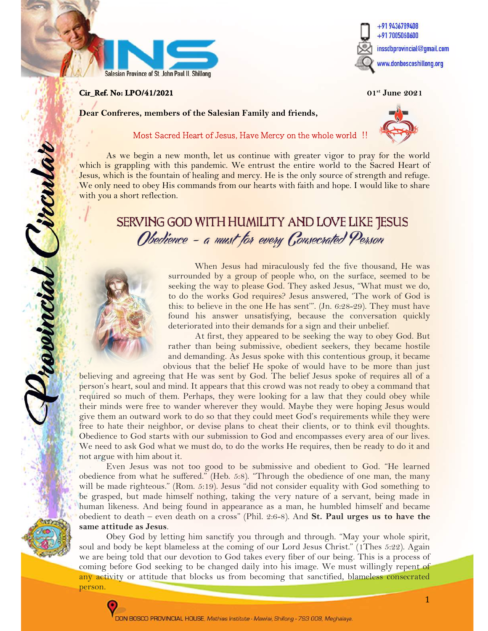

### **Cir\_Ref. No: LPO/41/2021** 01st June 2021

j

revincial ircula



Dear Confreres, members of the Salesian Family and friends,

### Most Sacred Heart of Jesus, Have Mercy on the whole world !!

As we begin a new month, let us continue with greater vigor to pray for the world which is grappling with this pandemic. We entrust the entire world to the Sacred Heart of Jesus, which is the fountain of healing and mercy. He is the only source of strength and refuge. We only need to obey His commands from our hearts with faith and hope. I would like to share with you a short reflection.

# SERVING GOD WITH HUMILITY AND LOVE LIKE JESUS Obedience - a must for every Consecrated Person



When Jesus had miraculously fed the five thousand, He was surrounded by a group of people who, on the surface, seemed to be seeking the way to please God. They asked Jesus, "What must we do, to do the works God requires? Jesus answered, 'The work of God is this: to believe in the one He has sent'". (Jn. 6:28-29). They must have found his answer unsatisfying, because the conversation quickly deteriorated into their demands for a sign and their unbelief.

At first, they appeared to be seeking the way to obey God. But rather than being submissive, obedient seekers, they became hostile and demanding. As Jesus spoke with this contentious group, it became obvious that the belief He spoke of would have to be more than just

believing and agreeing that He was sent by God. The belief Jesus spoke of requires all of a person's heart, soul and mind. It appears that this crowd was not ready to obey a command that required so much of them. Perhaps, they were looking for a law that they could obey while their minds were free to wander wherever they would. Maybe they were hoping Jesus would give them an outward work to do so that they could meet God's requirements while they were free to hate their neighbor, or devise plans to cheat their clients, or to think evil thoughts. Obedience to God starts with our submission to God and encompasses every area of our lives. We need to ask God what we must do, to do the works He requires, then be ready to do it and not argue with him about it.

Even Jesus was not too good to be submissive and obedient to God. "He learned obedience from what he suffered." (Heb. 5:8). "Through the obedience of one man, the many will be made righteous." (Rom. 5:19). Jesus "did not consider equality with God something to be grasped, but made himself nothing, taking the very nature of a servant, being made in human likeness. And being found in appearance as a man, he humbled himself and became obedient to death – even death on a cross" (Phil. 2:6-8). And St. Paul urges us to have the same attitude as Jesus.

Obey God by letting him sanctify you through and through. "May your whole spirit, soul and body be kept blameless at the coming of our Lord Jesus Christ." (1Thes 5:22). Again we are being told that our devotion to God takes every fiber of our being. This is a process of coming before God seeking to be changed daily into his image. We must willingly repent of any activity or attitude that blocks us from becoming that sanctified, blameless consecrated person.

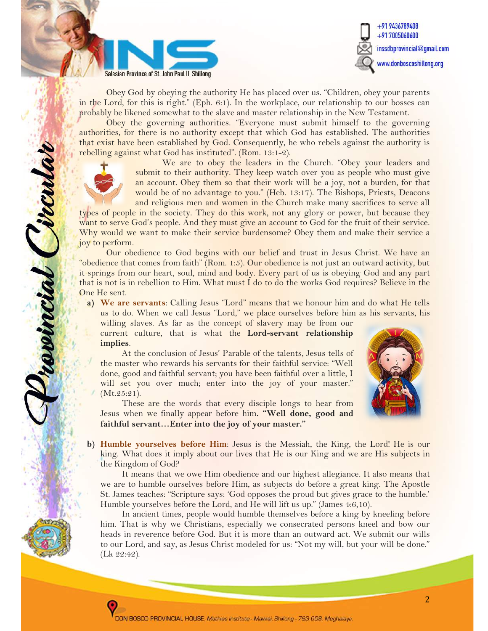



Obey God by obeying the authority He has placed over us. "Children, obey your parents in the Lord, for this is right." (Eph. 6:1). In the workplace, our relationship to our bosses can probably be likened somewhat to the slave and master relationship in the New Testament.

Obey the governing authorities. "Everyone must submit himself to the governing authorities, for there is no authority except that which God has established. The authorities that exist have been established by God. Consequently, he who rebels against the authority is rebelling against what God has instituted". (Rom. 13:1-2).



revincial Circula

We are to obey the leaders in the Church. "Obey your leaders and submit to their authority. They keep watch over you as people who must give an account. Obey them so that their work will be a joy, not a burden, for that would be of no advantage to you." (Heb. 13:17). The Bishops, Priests, Deacons and religious men and women in the Church make many sacrifices to serve all

types of people in the society. They do this work, not any glory or power, but because they want to serve God's people. And they must give an account to God for the fruit of their service. Why would we want to make their service burdensome? Obey them and make their service a joy to perform.

Our obedience to God begins with our belief and trust in Jesus Christ. We have an "obedience that comes from faith" (Rom. 1:5). Our obedience is not just an outward activity, but it springs from our heart, soul, mind and body. Every part of us is obeying God and any part that is not is in rebellion to Him. What must I do to do the works God requires? Believe in the One He sent.

a) We are servants: Calling Jesus "Lord" means that we honour him and do what He tells us to do. When we call Jesus "Lord," we place ourselves before him as his servants, his

willing slaves. As far as the concept of slavery may be from our current culture, that is what the Lord-servant relationship implies.

At the conclusion of Jesus' Parable of the talents, Jesus tells of the master who rewards his servants for their faithful service: "Well done, good and faithful servant; you have been faithful over a little, I will set you over much; enter into the joy of your master." (Mt.25:21).



These are the words that every disciple longs to hear from Jesus when we finally appear before him. "Well done, good and faithful servant...Enter into the joy of your master."

b) Humble yourselves before Him: Jesus is the Messiah, the King, the Lord! He is our king. What does it imply about our lives that He is our King and we are His subjects in the Kingdom of God?

It means that we owe Him obedience and our highest allegiance. It also means that we are to humble ourselves before Him, as subjects do before a great king. The Apostle St. James teaches: "Scripture says: 'God opposes the proud but gives grace to the humble.' Humble yourselves before the Lord, and He will lift us up." (James 4:6,10).

In ancient times, people would humble themselves before a king by kneeling before him. That is why we Christians, especially we consecrated persons kneel and bow our heads in reverence before God. But it is more than an outward act. We submit our wills to our Lord, and say, as Jesus Christ modeled for us: "Not my will, but your will be done." (Lk 22:42).

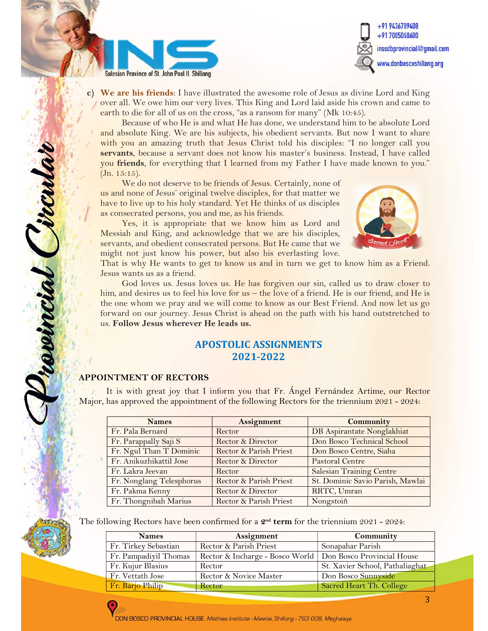



c) We are his friends: I have illustrated the awesome role of Jesus as divine Lord and King over all. We owe him our very lives. This King and Lord laid aside his crown and came to earth to die for all of us on the cross, "as a ransom for many" (Mk 10:45).

Because of who He is and what He has done, we understand him to be absolute Lord and absolute King. We are his subjects, his obedient servants. But now I want to share with you an amazing truth that Jesus Christ told his disciples: "I no longer call you servants, because a servant does not know his master's business. Instead, I have called you friends, for everything that I learned from my Father I have made known to you."  $(Jn. 15:15).$ 

We do not deserve to be friends of Jesus. Certainly, none of us and none of Jesus' original twelve disciples, for that matter we have to live up to his holy standard. Yet He thinks of us disciples as consecrated persons, you and me, as his friends.

Yes, it is appropriate that we know him as Lord and Messiah and King, and acknowledge that we are his disciples, servants, and obedient consecrated persons. But He came that we might not just know his power, but also his everlasting love.



That is why He wants to get to know us and in turn we get to know him as a Friend. Jesus wants us as a friend.

God loves us. Jesus loves us. He has forgiven our sin, called us to draw closer to him, and desires us to feel his love for us – the love of a friend. He is our friend, and He is the one whom we pray and we will come to know as our Best Friend. And now let us go forward on our journey. Jesus Christ is ahead on the path with his hand outstretched to us. Follow Jesus wherever He leads us.

### APOSTOLIC ASSIGNMENTS 2021-2022

# APPOINTMENT OF RECTORS

revincial Circul

It is with great joy that I inform you that Fr. Ángel Fernández Artime, our Rector Major, has approved the appointment of the following Rectors for the triennium 2021 - 2024:

| <b>Names</b>             | <b>Assignment</b>      | <b>Community</b>                 |
|--------------------------|------------------------|----------------------------------|
| Fr. Pala Bernard         | Rector                 | DB Aspirantate Nonglakhiat       |
| Fr. Parappally Saji S    | Rector & Director      | Don Bosco Technical School       |
| Fr. Ngul Than T Dominic  | Rector & Parish Priest | Don Bosco Centre, Siaha          |
| Fr. Anikuzhikattil Jose  | Rector & Director      | <b>Pastoral Centre</b>           |
| Fr. Lakra Jeevan         | Rector                 | <b>Salesian Training Centre</b>  |
| Fr. Nonglang Telesphorus | Rector & Parish Priest | St. Dominic Savio Parish, Mawlai |
| Fr. Pakma Kenny          | Rector & Director      | RRTC, Umran                      |
| Fr. Thongnibah Marius    | Rector & Parish Priest | Nongstoiñ                        |

The following Rectors have been confirmed for a  $2^{nd}$  term for the triennium  $2021 - 2024$ :

| <b>Names</b>          | Assignment                                                   | Community                       |
|-----------------------|--------------------------------------------------------------|---------------------------------|
| Fr. Tirkey Sebastian  | Rector & Parish Priest                                       | Sonapahar Parish                |
| Fr. Pampadiyil Thomas | Rector & Incharge - Bosco World   Don Bosco Provincial House |                                 |
| Fr. Kujur Blasius     | Rector                                                       | St. Xavier School, Pathaliaghat |
| Fr. Vettath Jose      | Rector & Novice Master                                       | Don Bosco Sunnyside             |
| Fr. Barjo Philip      | Rector                                                       | Sacred Heart Th. College        |

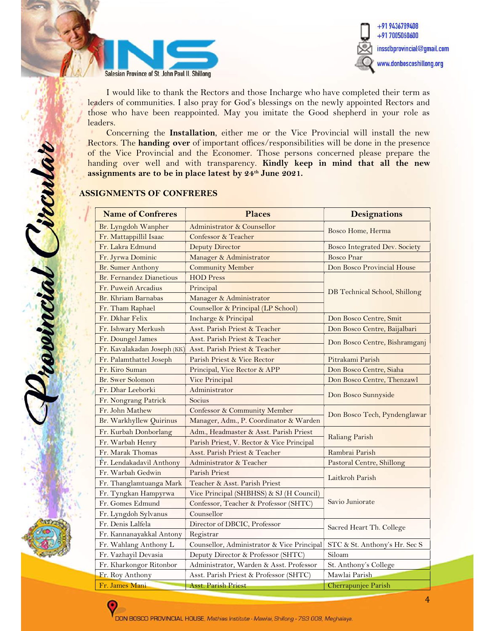



I would like to thank the Rectors and those Incharge who have completed their term as leaders of communities. I also pray for God's blessings on the newly appointed Rectors and those who have been reappointed. May you imitate the Good shepherd in your role as leaders.

Concerning the Installation, either me or the Vice Provincial will install the new Rectors. The handing over of important offices/responsibilities will be done in the presence of the Vice Provincial and the Economer. Those persons concerned please prepare the handing over well and with transparency. Kindly keep in mind that all the new assignments are to be in place latest by 24<sup>th</sup> June 2021.

### ASSIGNMENTS OF CONFRERES

revincial Circula

| <b>Name of Confreres</b>           | <b>Places</b>                              | <b>Designations</b>           |  |
|------------------------------------|--------------------------------------------|-------------------------------|--|
| Br. Lyngdoh Wanpher                | Administrator & Counsellor                 | Bosco Home, Herma             |  |
| Fr. Mattappillil Isaac             | Confessor & Teacher                        |                               |  |
| Fr. Lakra Edmund                   | <b>Deputy Director</b>                     | Bosco Integrated Dev. Society |  |
| Fr. Jyrwa Dominic                  | Manager & Administrator                    | <b>Bosco Pnar</b>             |  |
| Br. Sumer Anthony                  | <b>Community Member</b>                    | Don Bosco Provincial House    |  |
| <b>Br. Fernandez Dianetious</b>    | <b>HOD</b> Press                           |                               |  |
| Fr. Puweiñ Arcadius                | Principal                                  | DB Technical School, Shillong |  |
| Br. Khriam Barnabas                | Manager & Administrator                    |                               |  |
| Fr. Tham Raphael                   | Counsellor & Principal (LP School)         |                               |  |
| Fr. Dkhar Felix                    | Incharge & Principal                       | Don Bosco Centre, Smit        |  |
| Fr. Ishwary Merkush                | Asst. Parish Priest & Teacher              | Don Bosco Centre, Baijalbari  |  |
| Fr. Doungel James                  | Asst. Parish Priest & Teacher              | Don Bosco Centre, Bishramganj |  |
| Fr. Kavalakadan Joseph (KK)        | Asst. Parish Priest & Teacher              |                               |  |
| Fr. Palamthattel Joseph            | Parish Priest & Vice Rector                | Pitrakami Parish              |  |
| Fr. Kiro Suman                     | Principal, Vice Rector & APP               | Don Bosco Centre, Siaha       |  |
| <b>Br.</b> Swer Solomon            | Vice Principal                             | Don Bosco Centre, Thenzawl    |  |
| Fr. Dhar Leeborki<br>Administrator |                                            |                               |  |
| Fr. Nongrang Patrick               | Socius                                     | Don Bosco Sunnyside           |  |
| Fr. John Mathew                    | <b>Confessor &amp; Community Member</b>    | Don Bosco Tech, Pyndenglawar  |  |
| Br. Warkhyllew Quirinus            | Manager, Adm., P. Coordinator & Warden     |                               |  |
| Fr. Kurbah Donborlang              | Adm., Headmaster & Asst. Parish Priest     |                               |  |
| Fr. Warbah Henry                   | Parish Priest, V. Rector & Vice Principal  | <b>Raliang Parish</b>         |  |
| Fr. Marak Thomas                   | Asst. Parish Priest & Teacher              | Rambrai Parish                |  |
| Fr. Lendakadavil Anthony           | Administrator & Teacher                    | Pastoral Centre, Shillong     |  |
| Fr. Warbah Gedwin                  | Parish Priest                              |                               |  |
| Fr. Thanglamtuanga Mark            | Teacher & Asst. Parish Priest              | Laitkroh Parish               |  |
| Fr. Tyngkan Hampyrwa               | Vice Principal (SHBHSS) & SJ (H Council)   |                               |  |
| Fr. Gomes Edmund                   | Confessor, Teacher & Professor (SHTC)      | Savio Juniorate               |  |
| Fr. Lyngdoh Sylvanus               | Counsellor                                 |                               |  |
| Fr. Denis Lalfela                  | Director of DBCIC, Professor               | Sacred Heart Th. College      |  |
| Fr. Kannanayakkal Antony           | Registrar                                  |                               |  |
| Fr. Wahlang Anthony L              | Counsellor, Administrator & Vice Principal | STC & St. Anthony's Hr. Sec S |  |
| Fr. Vazhayil Devasia               | Deputy Director & Professor (SHTC)         | Siloam                        |  |
| Fr. Kharkongor Ritonbor            | Administrator, Warden & Asst. Professor    | St. Anthony's College         |  |
| Fr. Roy Anthony                    | Asst. Parish Priest & Professor (SHTC)     | Mawlai Parish                 |  |
| Fr. James Mani                     | <b>Asst. Parish Priest</b>                 | Cherrapunjee Parish           |  |

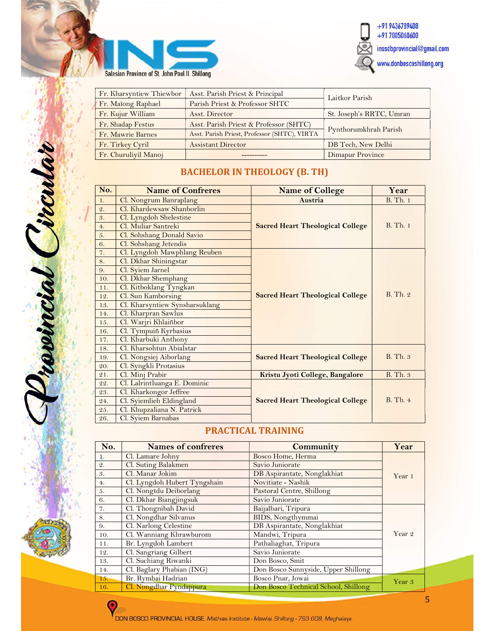



| Fr. Kharsyntiew Thiewbor | Asst. Parish Priest & Principal              | Laitkor Parish           |  |
|--------------------------|----------------------------------------------|--------------------------|--|
| Fr. Maïong Raphael       | Parish Priest & Professor SHTC               |                          |  |
| Fr. Kujur William        | Asst. Director                               | St. Joseph's RRTC, Umran |  |
| Fr. Shadap Festus        | Asst. Parish Priest & Professor (SHTC)       |                          |  |
| Fr. Mawrie Barnes        | Asst. Parish Priest, Professor (SHTC), VIRTA | Pynthorumkhrah Parish    |  |
| Fr. Tirkey Cyril         | <b>Assistant Director</b>                    | DB Tech, New Delhi       |  |
| Fr. Churuliyil Manoj     |                                              | Dimapur Province         |  |

## BACHELOR IN THEOLOGY (B. TH)

| No. | <b>Name of Confreres</b>       | <b>Name of College</b>                  | Year            |
|-----|--------------------------------|-----------------------------------------|-----------------|
| 1.  | Cl. Nongrum Banraplang         | Austria                                 | <b>B.</b> Th. 1 |
| 2.  | Cl. Khardewsaw Shanborlin      |                                         |                 |
| 3.  | Cl. Lyngdoh Shelestine         |                                         |                 |
| 4.  | Cl. Muliar Santreki            | <b>Sacred Heart Theological College</b> | <b>B.</b> Th. 1 |
| 5.  | Cl. Sohshang Donald Savio      |                                         |                 |
| 6.  | Cl. Sohshang Jetendis          |                                         |                 |
| 7.  | Cl. Lyngdoh Mawphlang Reuben   |                                         |                 |
| 8.  | Cl. Dkhar Shiningstar          |                                         |                 |
| 9.  | Cl. Syiem Jarnel               |                                         |                 |
| 10. | Cl. Dkhar Shemphang            |                                         | $R$ . Th. $9$ . |
| 11. | Cl. Kitboklang Tyngkan         |                                         |                 |
| 12. | Cl. Sun Kamborsing             | <b>Sacred Heart Theological College</b> |                 |
| 13. | Cl. Kharsyntiew Synsharsuklang |                                         |                 |
| 14. | Cl. Kharpran Sawlus            |                                         |                 |
| 15. | Cl. Warjri Khlaiñbor           |                                         |                 |
| 16. | Cl. Tympuiñ Kyrbasius          |                                         |                 |
| 17. | Cl. Kharbuki Anthony           |                                         |                 |
| 18. | Cl. Kharsohtun Abialstar       |                                         |                 |
| 19. | Cl. Nongsiej Aiborlang         | <b>Sacred Heart Theological College</b> | B. Th. 3        |
| 20. | Cl. Syngkli Protasius          |                                         |                 |
| 21. | Cl. Minj Prabir                | Kristu Jyoti College, Bangalore         | <b>B.</b> Th. 3 |
| 22. | Cl. Lalrintluanga E. Dominic   |                                         |                 |
| 23. | Cl. Kharkongor Jeffree         |                                         |                 |
| 24. | Cl. Syiemlieh Eldingland       | <b>Sacred Heart Theological College</b> | B. Th. 4        |
| 25. | Cl. Khupzaliana N. Patrick     |                                         |                 |
| 26. | Cl. Syiem Barnabas             |                                         |                 |

### PRACTICAL TRAINING

| No.             | <b>Names of confreres</b>    | Community                            | Year   |
|-----------------|------------------------------|--------------------------------------|--------|
| 1.              | Cl. Lamare Johny             | Bosco Home, Herma                    |        |
| $\mathcal{Q}$ . | Cl. Suting Balakmen          | Savio Juniorate                      |        |
| 3.              | Cl. Manar Jokim              | DB Aspirantate, Nonglakhiat          | Year 1 |
| 4.              | Cl. Lyngdoh Hubert Tyngshain | Novitiate - Nashik                   |        |
| 5.              | Cl. Nongtdu Deiborlang       | Pastoral Centre, Shillong            |        |
| 6.              | Cl. Dkhar Biangjingsuk       | Savio Juniorate                      |        |
| 7.              | Cl. Thongnibah David         | Baijalbari, Tripura                  |        |
| 8.              | Cl. Nongdhar Silvanus        | BIDS, Nongthymmai                    |        |
| 9.              | Cl. Narlong Celestine        | DB Aspirantate, Nonglakhiat          |        |
| 10.             | Cl. Wanniang Khrawburom      | Mandwi, Tripura                      | Year 2 |
| 11.             | Br. Lyngdoh Lambert          | Pathaliaghat, Tripura                |        |
| 12.             | Cl. Sangriang Gilbert        | Savio Juniorate                      |        |
| 13.             | Cl. Suchiang Riwanki         | Don Bosco, Smit                      |        |
| 14.             | Cl. Baglary Phabian (ING)    | Don Bosco Sunnyside, Upper Shillong  |        |
| 15.             | Br. Rymbai Hadrian           | Bosco Pnar, Jowai                    | Year 3 |
| 16.             | Cl. Nongdhar Pyndappura      | Don Bosco Technical School, Shillong |        |

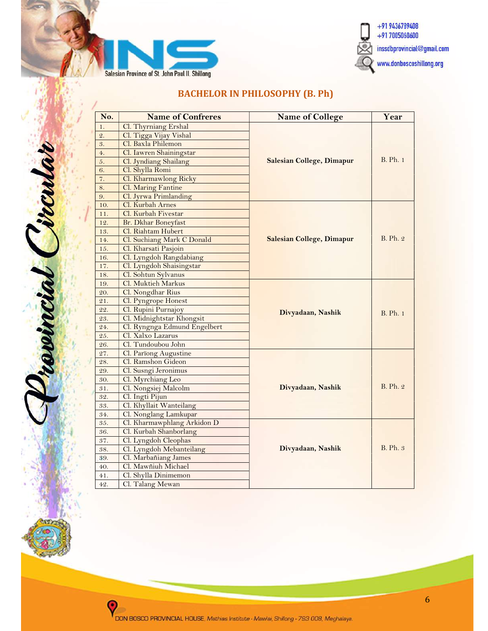



# BACHELOR IN PHILOSOPHY (B. Ph)

| No.             | <b>Name of Confreres</b>     | <b>Name of College</b>           | Year            |
|-----------------|------------------------------|----------------------------------|-----------------|
| 1.              | Cl. Thyrniang Ershal         |                                  |                 |
| $\mathfrak{2}.$ | Cl. Tigga Vijay Vishal       |                                  | <b>B.</b> Ph. 1 |
| 3.              | Cl. Baxla Philemon           |                                  |                 |
| 4.              | Cl. Iawren Shainingstar      |                                  |                 |
| 5.              | Cl. Jyndiang Shailang        | <b>Salesian College, Dimapur</b> |                 |
| 6.              | Cl. Shylla Romi              |                                  |                 |
| 7.              | Cl. Kharmawlong Ricky        |                                  |                 |
| 8.              | Cl. Maring Fantine           |                                  |                 |
| 9.              | Cl. Jyrwa Primlanding        |                                  |                 |
| 10.             | Cl. Kurbah Arnes             |                                  |                 |
| 11.             | Cl. Kurbah Fivestar          |                                  |                 |
| 12.             | Br. Dkhar Boneyfast          |                                  |                 |
| 13.             | Cl. Riahtam Hubert           |                                  |                 |
| 14.             | Cl. Suchiang Mark C Donald   | <b>Salesian College, Dimapur</b> | <b>B.</b> Ph. 2 |
| 15.             | Cl. Kharsati Pasjoin         |                                  |                 |
| 16.             | Cl. Lyngdoh Rangdabiang      |                                  |                 |
| 17.             | Cl. Lyngdoh Shaisingstar     |                                  |                 |
| 18.             | Cl. Sohtun Sylvanus          |                                  |                 |
| 19.             | Cl. Muktieh Markus           |                                  |                 |
| 20.             | Cl. Nongdhar Rius            |                                  |                 |
| 21.             | Cl. Pyngrope Honest          |                                  | <b>B.</b> Ph. 1 |
| 22.             | Cl. Rupini Purnajoy          | Divyadaan, Nashik                |                 |
| 23.             | Cl. Midnightstar Khongsit    |                                  |                 |
| 24.             | Cl. Ryngnga Edmund Engelbert |                                  |                 |
| 25.             | Cl. Xalxo Lazarus            |                                  |                 |
| 26.             | Cl. Tundoubou John           |                                  |                 |
| 27.             | Cl. Parïong Augustine        |                                  |                 |
| 28.             | Cl. Ramshon Gideon           |                                  |                 |
| 29.             | Cl. Susngi Jeronimus         |                                  |                 |
| 30.             | Cl. Myrchiang Leo            |                                  |                 |
| 31.             | Cl. Nongsiej Malcolm         | Divyadaan, Nashik                | <b>B.</b> Ph. 2 |
| 32.             | Cl. Ingti Pijun              |                                  |                 |
| 33.             | Cl. Khyllait Wanteilang      |                                  |                 |
| 34.             | Cl. Nonglang Lamkupar        |                                  |                 |
| 35.             | Cl. Kharmawphlang Arkidon D  |                                  |                 |
| 36.             | Cl. Kurbah Shanborlang       |                                  |                 |
| 37.             | Cl. Lyngdoh Cleophas         |                                  |                 |
| 38.             | Cl. Lyngdoh Mebanteilang     | Divyadaan, Nashik                | <b>B.</b> Ph. 3 |
| 39.             | Cl. Marbañiang James         |                                  |                 |
| 40.             | Cl. Mawñiuh Michael          |                                  |                 |
| 41.             | Cl. Shylla Dinimemon         |                                  |                 |
| 42.             | Cl. Talang Mewan             |                                  |                 |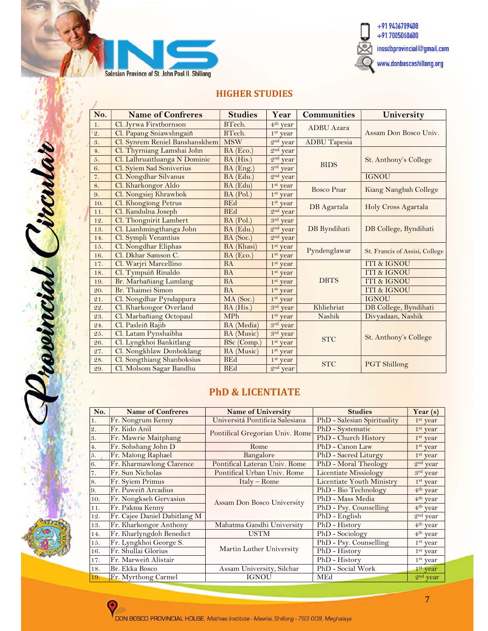



### HIGHER STUDIES

| No.              | <b>Name of Confreres</b>       | <b>Studies</b> | Year                      | <b>Communities</b>  | University                     |  |
|------------------|--------------------------------|----------------|---------------------------|---------------------|--------------------------------|--|
| 1.               | Cl. Jyrwa Firstbornson         | BTech.         | 4 <sup>th</sup> year      | <b>ADBU</b> Azara   | Assam Don Bosco Univ.          |  |
| $\overline{2}$ . | Cl. Papang Sniawshngaiñ        | BTech.         | 1 <sup>st</sup> year      |                     |                                |  |
| 3.               | Cl. Synrem Reniel Banshanskhem | <b>MSW</b>     | 2 <sup>nd</sup> year      | <b>ADBU</b> Tapesia |                                |  |
| 4 <sub>1</sub>   | Cl. Thyrniang Lamshai John     | $BA$ (Eco.)    | 2 <sub>nd</sub><br>year   |                     |                                |  |
| 5.               | Cl. Lalhruaitluanga N Dominic  | $BA$ (His.)    | $2^{\rm nd}$<br>year      |                     | St. Anthony's College          |  |
| 6.               | Cl. Syiem Sad Soniverius       | BA (Eng.)      | $3^{\mathrm{rd}}$<br>year | <b>BIDS</b>         |                                |  |
| 7.               | Cl. Nongdhar Silvanus          | $BA$ (Edu.)    | 2 <sub>nd</sub><br>year   |                     | <b>IGNOU</b>                   |  |
| 8.               | Cl. Kharkongor Aldo            | BA (Edu)       | 1 <sup>st</sup> year      | <b>Bosco Pnar</b>   | Kiang Nangbah College          |  |
| 9.               | Cl. Nongsiej Khrawbok          | $BA$ (Pol.)    | 1 <sup>st</sup> year      |                     |                                |  |
| 10.              | Cl. Khongïong Petrus           | <b>BEd</b>     | 1 <sup>st</sup> year      | DB Agartala         | Holy Cross Agartala            |  |
| 11.              | Cl. Kandulna Joseph            | <b>BEd</b>     | 2 <sup>nd</sup> year      |                     |                                |  |
| 12.              | Cl. Thongnirit Lambert         | BA (Pol.)      | $3^{\rm rd}$<br>year      |                     |                                |  |
| 13.              | Cl. Lianhmingthanga John       | $BA$ (Edu.)    | 2 <sup>nd</sup><br>year   | DB Byndihati        | DB College, Byndihati          |  |
| 14.              | Cl. Sympli Venantius           | BA (Soc.)      | $2nd$ year                |                     |                                |  |
| 15.              | Cl. Nongdhar Eliphas           | BA (Khasi)     | 1 <sup>st</sup> year      | Pyndenglawar        | St. Francis of Assisi, College |  |
| 16.              | Cl. Dkhar Samson C.            | $BA$ (Eco.)    | 1 <sup>st</sup> year      |                     |                                |  |
| 17.              | Cl. Warjri Marcellino          | <b>BA</b>      | $1st$ year                |                     | <b>ITI &amp; IGNOU</b>         |  |
| 18.              | Cl. Tympuiñ Rinaldo            | <b>BA</b>      | 1 <sup>st</sup> year      |                     | ITI & IGNOU                    |  |
| 19.              | Br. Marbañiang Lumlang         | <b>BA</b>      | 1 <sup>st</sup> year      | <b>DBTS</b>         | ITI & IGNOU                    |  |
| 20.              | Br. Thaimei Simon              | <b>BA</b>      | 1 <sup>st</sup> year      |                     | ITI & IGNOU                    |  |
| 21.              | Cl. Nongdhar Pyndappura        | MA (Soc.)      | 1 <sup>st</sup> year      |                     | <b>IGNOU</b>                   |  |
| 22.              | Cl. Kharkongor Overland        | $BA$ (His.)    | 3rd year                  | Khliehriat          | DB College, Byndihati          |  |
| 23.              | Cl. Marbañiang Octopaul        | <b>MPh</b>     | 1 <sup>st</sup> year      | Nashik              | Divyadaan, Nashik              |  |
| 24.              | Cl. Pasleiñ Rajib              | BA (Media)     | 3 <sup>rd</sup><br>year   |                     |                                |  |
| 25.              | Cl. Latam Pynshaibha           | BA (Music)     | $3^{\rm rd}$<br>year      |                     | St. Anthony's College          |  |
| 26.              | Cl. Lyngkhoi Bankitlang        | BSc (Comp.)    | 1 <sup>st</sup> year      | <b>STC</b>          |                                |  |
| 27.              | Cl. Nongkhlaw Donboklang       | BA (Music)     | $1st$ year                |                     |                                |  |
| 28.              | Cl. Songthiang Shanboksius     | <b>BEd</b>     | $1st$ year                | <b>STC</b>          | <b>PGT</b> Shillong            |  |
| 29.              | Cl. Molsom Sagar Bandhu        | <b>BEd</b>     | $2nd$ year                |                     |                                |  |

# PhD & LICENTIATE

| No.             | <b>Name of Confreres</b>     | <b>Name of University</b>       | <b>Studies</b>              | Year $(s)$           |
|-----------------|------------------------------|---------------------------------|-----------------------------|----------------------|
| 1.              | Fr. Nongrum Kenny            | Universitá Pontificia Salesiana | PhD - Salesian Spirituality | $1st$ year           |
| $\mathcal{Q}_*$ | Fr. Kido Anil                | Pontifical Gregorian Univ. Rome | PhD - Systematic            | $1st$ year           |
| 3.              | Fr. Mawrie Maitphang         |                                 | PhD - Church History        | 1 <sup>st</sup> year |
| 4.              | Fr. Sohshang John D          | Rome                            | PhD - Canon Law             | 1 <sup>st</sup> year |
| 5.              | Fr. Maïong Raphael           | Bangalore                       | PhD - Sacred Liturgy        | 1 <sup>st</sup> year |
| 6.              | Fr. Kharmawlong Clarence     | Pontifical Lateran Univ. Rome   | PhD - Moral Theology        | $2nd$ year           |
| 7.              | Fr. Sun Nicholas             | Pontifical Urban Univ. Rome     | Licentiate Missiology       | $3rd$ year           |
| 8.              | Fr. Syiem Primus             | $Italy-Rome$                    | Licentiate Youth Ministry   | $1st$ year           |
| 9.              | Fr. Puweiñ Arcadius          |                                 | PhD - Bio Technology        | 4 <sup>th</sup> year |
| 10.             | Fr. Nongkseh Gervasius       | Assam Don Bosco University      | PhD - Mass Media            | $4th$ year           |
| 11.             | Fr. Pakma Kenny              |                                 | PhD - Psy. Counselling      | $4th$ year           |
| 12.             | Fr. Cajee Daniel Dabitlang M |                                 | PhD - English               | $2nd$ year           |
| 13.             | Fr. Kharkongor Anthony       | Mahatma Gandhi University       | PhD - History               | 4 <sup>th</sup> year |
| 14.             | Fr. Kharlyngdoh Benedict     | <b>USTM</b>                     | PhD - Sociology             | 4 <sup>th</sup> year |
| 15.             | Fr. Lyngkhoi George S.       |                                 | PhD - Psy. Counselling      | $1st$ year           |
| 16.             | Fr. Shullai Glorius          | Martin Luther University        | PhD - History               | 1 <sup>st</sup> year |
| 17.             | Fr. Marweiñ Alistair         |                                 | PhD - History               | $1st$ year           |
| 18.             | Br. Ekka Bosco               | Assam University, Silchar       | PhD - Social Work           | $1st$ year           |
| 19.             | Fr. Myrthong Carmel          | <b>IGNOU</b>                    | MEd                         | $2nd$ year           |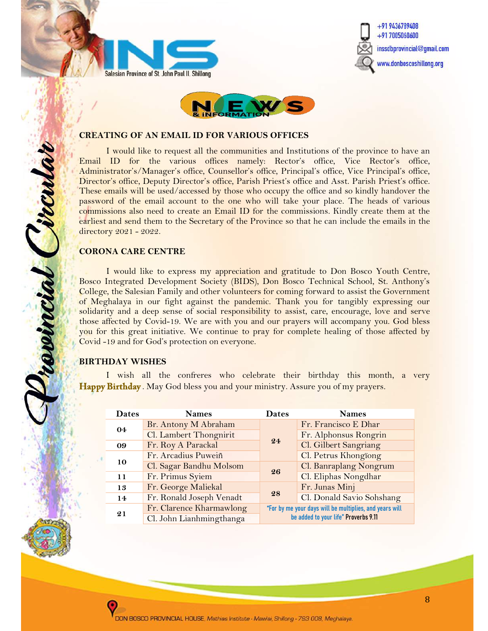





#### CREATING OF AN EMAIL ID FOR VARIOUS OFFICES

I would like to request all the communities and Institutions of the province to have an Email ID for the various offices namely: Rector's office, Vice Rector's office, Administrator's/Manager's office, Counsellor's office, Principal's office, Vice Principal's office, Director's office, Deputy Director's office, Parish Priest's office and Asst. Parish Priest's office. These emails will be used/accessed by those who occupy the office and so kindly handover the password of the email account to the one who will take your place. The heads of various commissions also need to create an Email ID for the commissions. Kindly create them at the earliest and send them to the Secretary of the Province so that he can include the emails in the directory 2021 - 2022.

#### CORONA CARE CENTRE

revincial ircula

I would like to express my appreciation and gratitude to Don Bosco Youth Centre, Bosco Integrated Development Society (BIDS), Don Bosco Technical School, St. Anthony's College, the Salesian Family and other volunteers for coming forward to assist the Government of Meghalaya in our fight against the pandemic. Thank you for tangibly expressing our solidarity and a deep sense of social responsibility to assist, care, encourage, love and serve those affected by Covid-19. We are with you and our prayers will accompany you. God bless you for this great initiative. We continue to pray for complete healing of those affected by Covid -19 and for God's protection on everyone.

#### BIRTHDAY WISHES

 I wish all the confreres who celebrate their birthday this month, a very Happy Birthday. May God bless you and your ministry. Assure you of my prayers.

| <b>Dates</b> | <b>Names</b>             | <b>Dates</b>                                            | <b>Names</b>              |
|--------------|--------------------------|---------------------------------------------------------|---------------------------|
|              | Br. Antony M Abraham     |                                                         | Fr. Francisco E Dhar      |
| 04           | Cl. Lambert Thongnirit   |                                                         | Fr. Alphonsus Rongrin     |
| 09           | Fr. Roy A Parackal       | 24                                                      | Cl. Gilbert Sangriang     |
|              | Fr. Arcadius Puweiñ      |                                                         | Cl. Petrus Khongïong      |
| 10           | Cl. Sagar Bandhu Molsom  |                                                         | Cl. Banraplang Nongrum    |
| 11           | Fr. Primus Syiem         | 26                                                      | Cl. Eliphas Nongdhar      |
| 13           | Fr. George Maliekal      |                                                         | Fr. Junas Minj            |
| 14           | Fr. Ronald Joseph Venadt | 28                                                      | Cl. Donald Savio Sohshang |
| 21           | Fr. Clarence Kharmawlong | "For by me your days will be multiplies, and years will |                           |
|              | Cl. John Lianhmingthanga | be added to your life" Proverbs 9.11                    |                           |